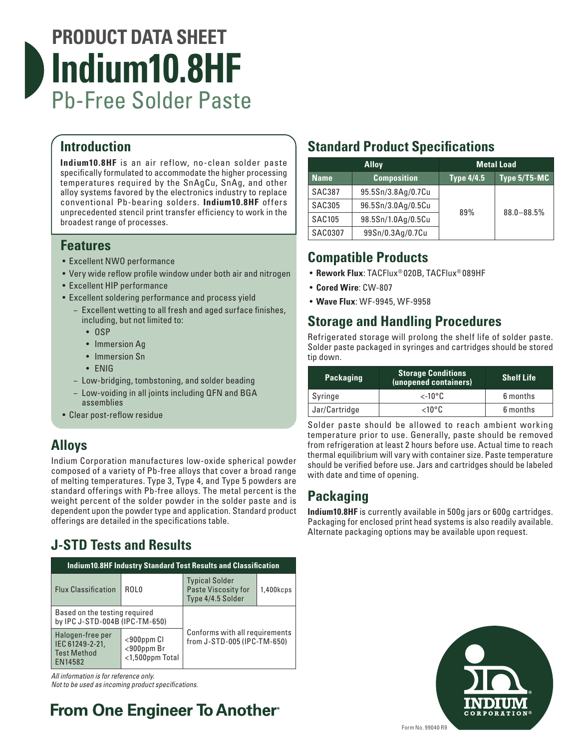

#### **Introduction**

**Indium10.8HF** is an air reflow, no-clean solder paste specifically formulated to accommodate the higher processing temperatures required by the SnAgCu, SnAg, and other alloy systems favored by the electronics industry to replace conventional Pb-bearing solders. **Indium10.8HF** offers unprecedented stencil print transfer efficiency to work in the broadest range of processes.

#### **Features**

- Excellent NWO performance
- Very wide reflow profile window under both air and nitrogen
- Excellent HIP performance
- Excellent soldering performance and process yield
	- − Excellent wetting to all fresh and aged surface finishes, including, but not limited to:
		- OSP
		- Immersion Ag
		- Immersion Sn
		- ENIG
	- − Low-bridging, tombstoning, and solder beading
	- − Low-voiding in all joints including QFN and BGA assemblies
- Clear post-reflow residue

#### **Alloys**

Indium Corporation manufactures low-oxide spherical powder composed of a variety of Pb-free alloys that cover a broad range of melting temperatures. Type 3, Type 4, and Type 5 powders are standard offerings with Pb-free alloys. The metal percent is the weight percent of the solder powder in the solder paste and is dependent upon the powder type and application. Standard product offerings are detailed in the specifications table.

## **J-STD Tests and Results**

| <b>Indium10.8HF Industry Standard Test Results and Classification</b> |                                                          |                                                                          |           |  |  |
|-----------------------------------------------------------------------|----------------------------------------------------------|--------------------------------------------------------------------------|-----------|--|--|
| <b>Flux Classification</b>                                            | ROL0                                                     | <b>Typical Solder</b><br><b>Paste Viscosity for</b><br>Type 4/4.5 Solder | 1,400kcps |  |  |
| Based on the testing required<br>by IPC J-STD-004B (IPC-TM-650)       |                                                          |                                                                          |           |  |  |
| Halogen-free per<br>IEC 61249-2-21,<br><b>Test Method</b><br>EN14582  | $<$ 900 $p$ pm Cl<br>$<$ 900ppm Br<br>$<$ 1,500ppm Total | Conforms with all requirements<br>from J-STD-005 (IPC-TM-650)            |           |  |  |

*All information is for reference only.* 

*Not to be used as incoming product specifications.*

## **From One Engineer To Another**

## **Standard Product Specifications**

| <b>Alloy</b>  |                    | <b>Metal Load</b> |                |
|---------------|--------------------|-------------------|----------------|
| <b>Name</b>   | <b>Composition</b> | <b>Type 4/4.5</b> | Type 5/T5-MC   |
| <b>SAC387</b> | 95.5Sn/3.8Ag/0.7Cu |                   |                |
| <b>SAC305</b> | 96.5Sn/3.0Ag/0.5Cu |                   | $88.0 - 88.5%$ |
| <b>SAC105</b> | 98.5Sn/1.0Ag/0.5Cu | 89%               |                |
| SAC0307       | 99Sn/0.3Ag/0.7Cu   |                   |                |

#### **Compatible Products**

- **Rework Flux**: TACFlux® 020B, TACFlux® 089HF
- **Cored Wire**: CW-807
- **Wave Flux**: WF-9945, WF-9958

#### **Storage and Handling Procedures**

Refrigerated storage will prolong the shelf life of solder paste. Solder paste packaged in syringes and cartridges should be stored tip down.

| <b>Packaging</b> | <b>Storage Conditions</b><br>(unopened containers) | <b>Shelf Life</b> |
|------------------|----------------------------------------------------|-------------------|
| Syringe          | $\epsilon$ -10°C                                   | 6 months          |
| Jar/Cartridge    | <1Օ°Ը                                              | 6 months          |

Solder paste should be allowed to reach ambient working temperature prior to use. Generally, paste should be removed from refrigeration at least 2 hours before use. Actual time to reach thermal equilibrium will vary with container size. Paste temperature should be verified before use. Jars and cartridges should be labeled with date and time of opening.

#### **Packaging**

**Indium10.8HF** is currently available in 500g jars or 600g cartridges. Packaging for enclosed print head systems is also readily available. Alternate packaging options may be available upon request.